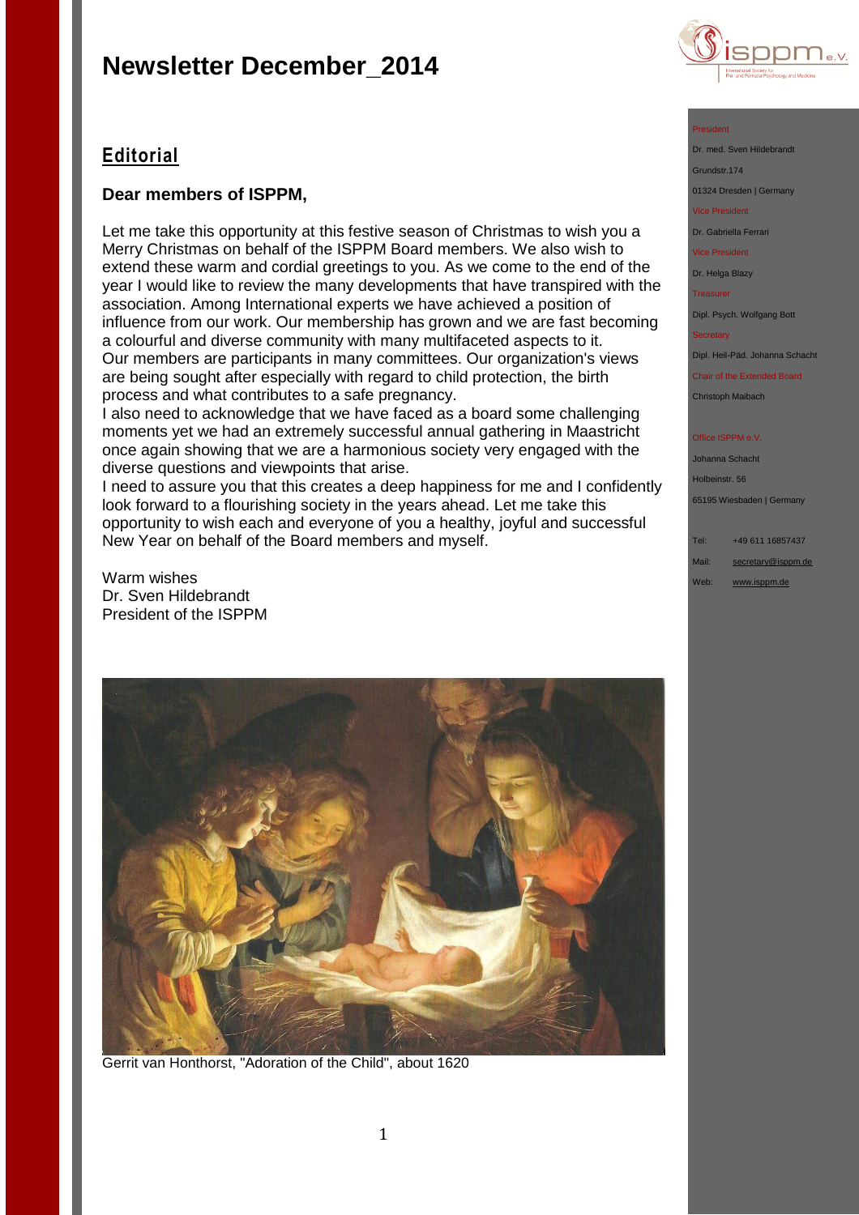

### **Editorial**

### **Dear members of ISPPM,**

Let me take this opportunity at this festive season of Christmas to wish you a Merry Christmas on behalf of the ISPPM Board members. We also wish to extend these warm and cordial greetings to you. As we come to the end of the year I would like to review the many developments that have transpired with the association. Among International experts we have achieved a position of influence from our work. Our membership has grown and we are fast becoming a colourful and diverse community with many multifaceted aspects to it. Our members are participants in many committees. Our organization's views are being sought after especially with regard to child protection, the birth process and what contributes to a safe pregnancy.

I also need to acknowledge that we have faced as a board some challenging moments yet we had an extremely successful annual gathering in Maastricht once again showing that we are a harmonious society very engaged with the diverse questions and viewpoints that arise.

I need to assure you that this creates a deep happiness for me and I confidently look forward to a flourishing society in the years ahead. Let me take this opportunity to wish each and everyone of you a healthy, joyful and successful New Year on behalf of the Board members and myself.

Warm wishes Dr. Sven Hildebrandt President of the ISPPM



Gerrit van Honthorst, "Adoration of the Child", about 1620

### President

Dr. med. Sven Hildebrand Grundstr.174

01324 Dresden | Germany

vice President

Dr. Gabriella Ferrari

Vice President

Dr. Helga Blazy

Treasurer

Dipl. Psych. Wolfgang Bott

**Secretary** 

Dipl. Heil-Päd. Johanna Schacht

Chair of the Extended Board

Christoph Maibach

### **Office ISPPM e.V**

Johanna Schacht Holbeinstr. 56

65195 Wiesbaden | Germany

Tel: +49 611 16857437 Mail: [secretary@isppm.de](mailto:secretary@isppm.de)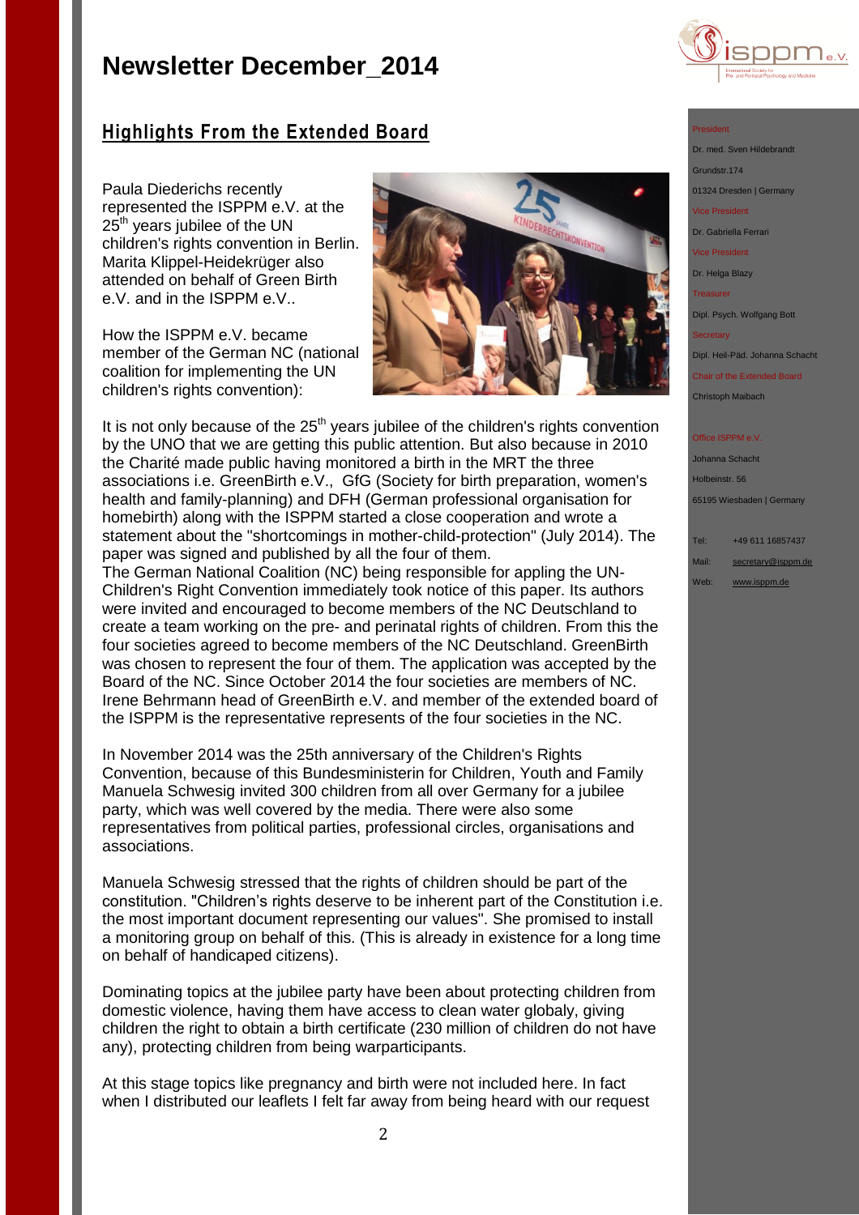

## **Highlights From the Extended Board**

Paula Diederichs recently represented the ISPPM e.V. at the 25<sup>th</sup> years jubilee of the UN children's rights convention in Berlin. Marita Klippel-Heidekrüger also attended on behalf of Green Birth e.V. and in the ISPPM e.V..

How the ISPPM e.V. became member of the German NC (national coalition for implementing the UN children's rights convention):



It is not only because of the  $25<sup>th</sup>$  years jubilee of the children's rights convention by the UNO that we are getting this public attention. But also because in 2010 the Charité made public having monitored a birth in the MRT the three associations i.e. GreenBirth e.V., GfG (Society for birth preparation, women's health and family-planning) and DFH (German professional organisation for homebirth) along with the ISPPM started a close cooperation and wrote a statement about the "shortcomings in mother-child-protection" (July 2014). The paper was signed and published by all the four of them.

The German National Coalition (NC) being responsible for appling the UN-Children's Right Convention immediately took notice of this paper. Its authors were invited and encouraged to become members of the NC Deutschland to create a team working on the pre- and perinatal rights of children. From this the four societies agreed to become members of the NC Deutschland. GreenBirth was chosen to represent the four of them. The application was accepted by the Board of the NC. Since October 2014 the four societies are members of NC. Irene Behrmann head of GreenBirth e.V. and member of the extended board of the ISPPM is the representative represents of the four societies in the NC.

In November 2014 was the 25th anniversary of the Children's Rights Convention, because of this Bundesministerin for Children, Youth and Family Manuela Schwesig invited 300 children from all over Germany for a jubilee party, which was well covered by the media. There were also some representatives from political parties, professional circles, organisations and associations.

Manuela Schwesig stressed that the rights of children should be part of the constitution. "Children's rights deserve to be inherent part of the Constitution i.e. the most important document representing our values". She promised to install a monitoring group on behalf of this. (This is already in existence for a long time on behalf of handicaped citizens).

Dominating topics at the jubilee party have been about protecting children from domestic violence, having them have access to clean water globaly, giving children the right to obtain a birth certificate (230 million of children do not have any), protecting children from being warparticipants.

At this stage topics like pregnancy and birth were not included here. In fact when I distributed our leaflets I felt far away from being heard with our request

### President

Dr. med. Sven Hildebrandt

Grundstr.174

01324 Dresden | Germany

Vice President

Dr. Gabriella Ferrari

Vice President

Dr. Helga Blazy

Treasurer

Dipl. Psych. Wolfgang Bott

**Secretary** 

Dipl. Heil-Päd. Johanna Schacht

Chair of the Extended Board Christoph Maibach

#### Office ISPPM e.V

Johanna Schacht Holbeinstr. 56 65195 Wiesbaden | Germany

Tel: +49 611 16857437

Mail: [secretary@isppm.de](mailto:secretary@isppm.de)

Web: [www.isppm.de](http://www.isppm.de/)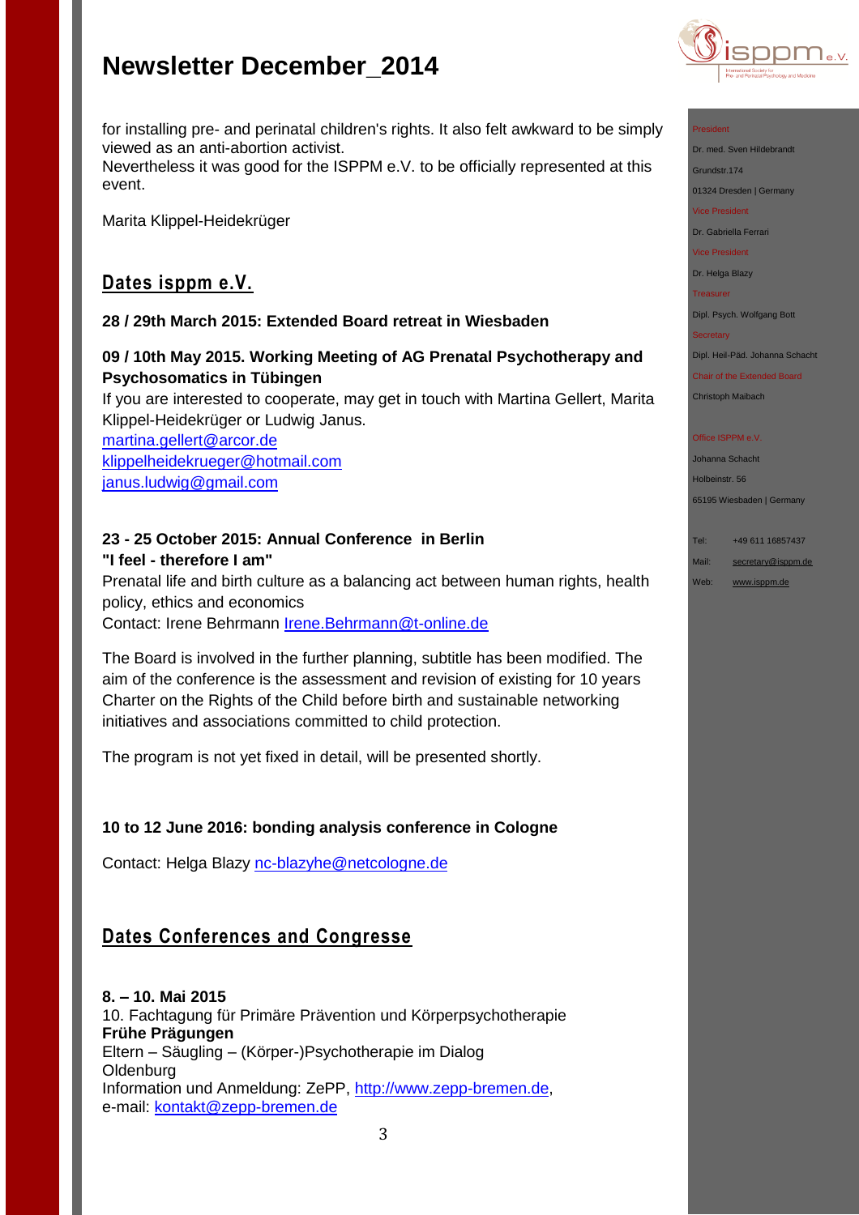

for installing pre- and perinatal children's rights. It also felt awkward to be simply viewed as an anti-abortion activist. Nevertheless it was good for the ISPPM e.V. to be officially represented at this event.

Marita Klippel-Heidekrüger

## **Dates isppm e.V.**

### **28 / 29th March 2015: Extended Board retreat in Wiesbaden**

**09 / 10th May 2015. Working Meeting of AG Prenatal Psychotherapy and Psychosomatics in Tübingen**

If you are interested to cooperate, may get in touch with Martina Gellert, Marita Klippel-Heidekrüger or Ludwig Janus.

[martina.gellert@arcor.de](mailto:martina.gellert@arcor.de) [klippelheidekrueger@hotmail.com](mailto:klippelheidekrueger@hotmail.com) [janus.ludwig@gmail.com](mailto:janus.ludwig@gmail.com)

## **23 - 25 October 2015: Annual Conference in Berlin "I feel - therefore I am"**

Prenatal life and birth culture as a balancing act between human rights, health policy, ethics and economics Contact: Irene Behrmann [Irene.Behrmann@t-online.de](mailto:Irene.Behrmann@t-online.de)

The Board is involved in the further planning, subtitle has been modified. The aim of the conference is the assessment and revision of existing for 10 years Charter on the Rights of the Child before birth and sustainable networking initiatives and associations committed to child protection.

The program is not yet fixed in detail, will be presented shortly.

### **10 to 12 June 2016: bonding analysis conference in Cologne**

Contact: Helga Blazy [nc-blazyhe@netcologne.de](mailto:nc-blazyhe@netcologne.de)

## **Dates Conferences and Congresse**

**8. – 10. Mai 2015** 10. Fachtagung für Primäre Prävention und Körperpsychotherapie **Frühe Prägungen** Eltern – Säugling – (Körper-)Psychotherapie im Dialog **Oldenburg** Information und Anmeldung: ZePP, [http://www.zepp-bremen.de,](http://www.zepp-bremen.de/) e-mail: [kontakt@zepp-bremen.de](mailto:kontakt@zepp-bremen.de)

President

Dr. med. Sven Hildebrandt

Grundstr.174 01324 Dresden | Germany

Vice President

Dr. Gabriella Ferrari

Vice President

Dr. Helga Blazy

**Treasurer** 

Dipl. Psych. Wolfgang Bott

**Secretary** 

Dipl. Heil-Päd. Johanna Schacht

Chair of the Extended Board Christoph Maibach

### Office ISPPM e.V

Johanna Schacht Holbeinstr. 56 65195 Wiesbaden | Germany

Tel: +49 611 16857437

Mail: [secretary@isppm.de](mailto:secretary@isppm.de)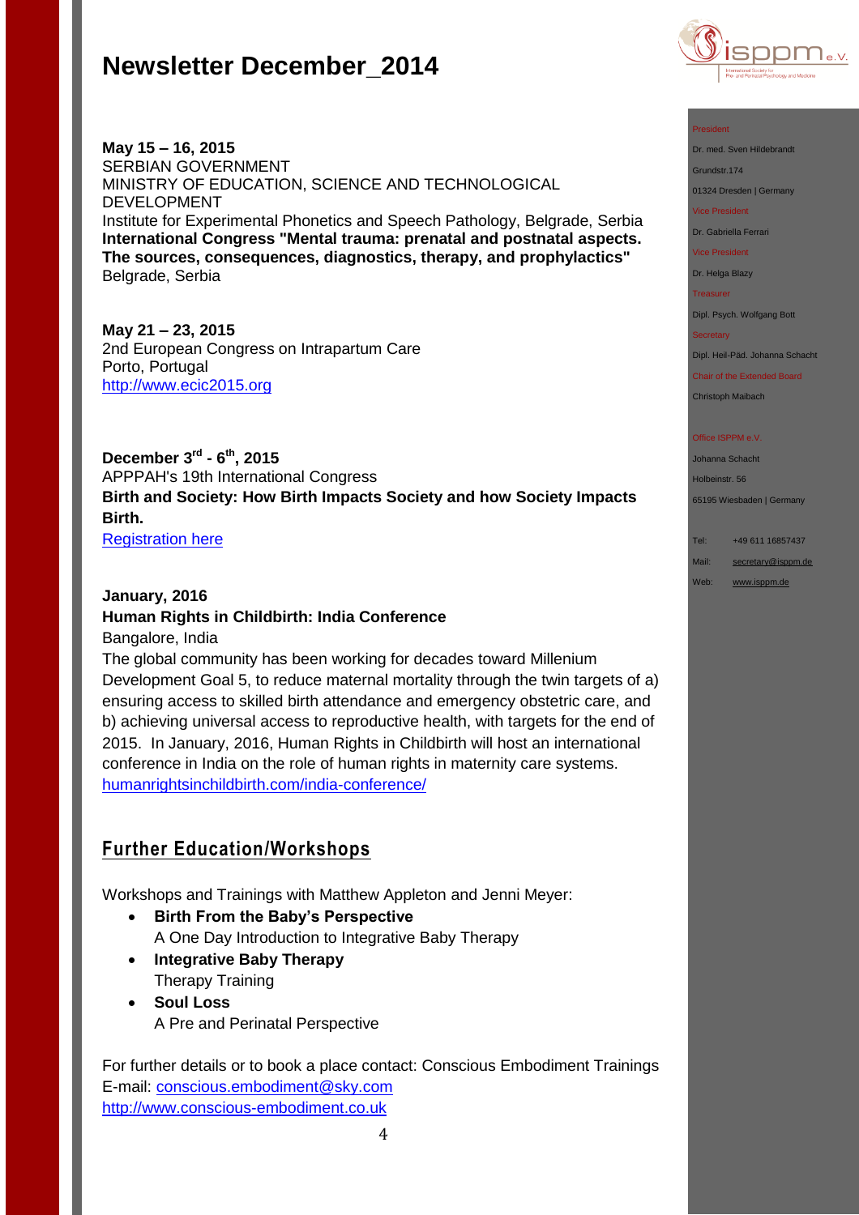

### **May 15 – 16, 2015** SERBIAN GOVERNMENT MINISTRY OF EDUCATION, SCIENCE AND TECHNOLOGICAL DEVELOPMENT Institute for Experimental Phonetics and Speech Pathology, Belgrade, Serbia **International Congress "Mental trauma: prenatal and postnatal aspects. The sources, consequences, diagnostics, therapy, and prophylactics"**  Belgrade, Serbia

**May 21 – 23, 2015** 2nd European Congress on Intrapartum Care Porto, Portugal [http://www.ecic2015.org](http://www.ecic2015.org/)

**December 3rd - 6 th, 2015** APPPAH's 19th International Congress **Birth and Society: How Birth Impacts Society and how Society Impacts Birth.**

**[Registration here](http://r20.rs6.net/tn.jsp?f=001ow1wkvozei_88VPX53sV2VFa_ZuxEIVEKa01uLsN1mbdQzyyQdhs_FXedW1fhcbR0cAnBWKAa58XC3PwfiugTa1u-MPUS6Vonsz2fJNfQoB35pjIsF_7lD1CN_qw8TKu7v5JAd5plpwt_sJH1Yde9EazKKjwqyMJ21kbRBK73s3eVNH4L1EyhKr9FAjjkUSl1fgyAKzNeZsbRxoBWUe7j8en6Y0oQ_VI&c=LWshyrIfwgT0SZxQf9pomHGUyyn_Wvxtp2RWpyiRrhc-6I_2N51Iww==&ch=fzqAY8gzqrfAbvVlvh6O_uf6Y0uhLqpZVtR_fAmpQsLRiSXUV-TJkQ==)** 

### **January, 2016**

## **Human Rights in Childbirth: India Conference**

Bangalore, India

The global community has been working for decades toward Millenium Development Goal 5, to reduce maternal mortality through the twin targets of a) ensuring access to skilled birth attendance and emergency obstetric care, and b) achieving universal access to reproductive health, with targets for the end of 2015. In January, 2016, Human Rights in Childbirth will host an international conference in India on the role of human rights in maternity care systems. [humanrightsinchildbirth.com/india-conference/](http://humanrightsinchildbirth.com/india-conference/)

### **Further Education/Workshops**

Workshops and Trainings with Matthew Appleton and Jenni Meyer:

- **Birth From the Baby's Perspective** A One Day Introduction to Integrative Baby Therapy
- **Integrative Baby Therapy** Therapy Training
- **Soul Loss** A Pre and Perinatal Perspective

For further details or to book a place contact: Conscious Embodiment Trainings E-mail:<conscious.embodiment@sky.com> [http://www.conscious-embodiment.co.uk](http://www.conscious-embodiment.co.uk/)

#### President

Dr. med. Sven Hildebrandt

Grundstr.174

01324 Dresden | Germany

Vice President

Dr. Gabriella Ferrari

Vice President

Dr. Helga Blazy

**Treasurer** 

Dipl. Psych. Wolfgang Bott

#### **Secretary**

Dipl. Heil-Päd. Johanna Schacht

Chair of the Extended Board Christoph Maibach

#### Office ISPPM e.V

Johanna Schacht Holbeinstr. 56 65195 Wiesbaden | Germany

### Tel: +49 611 16857437

Mail: [secretary@isppm.de](mailto:secretary@isppm.de)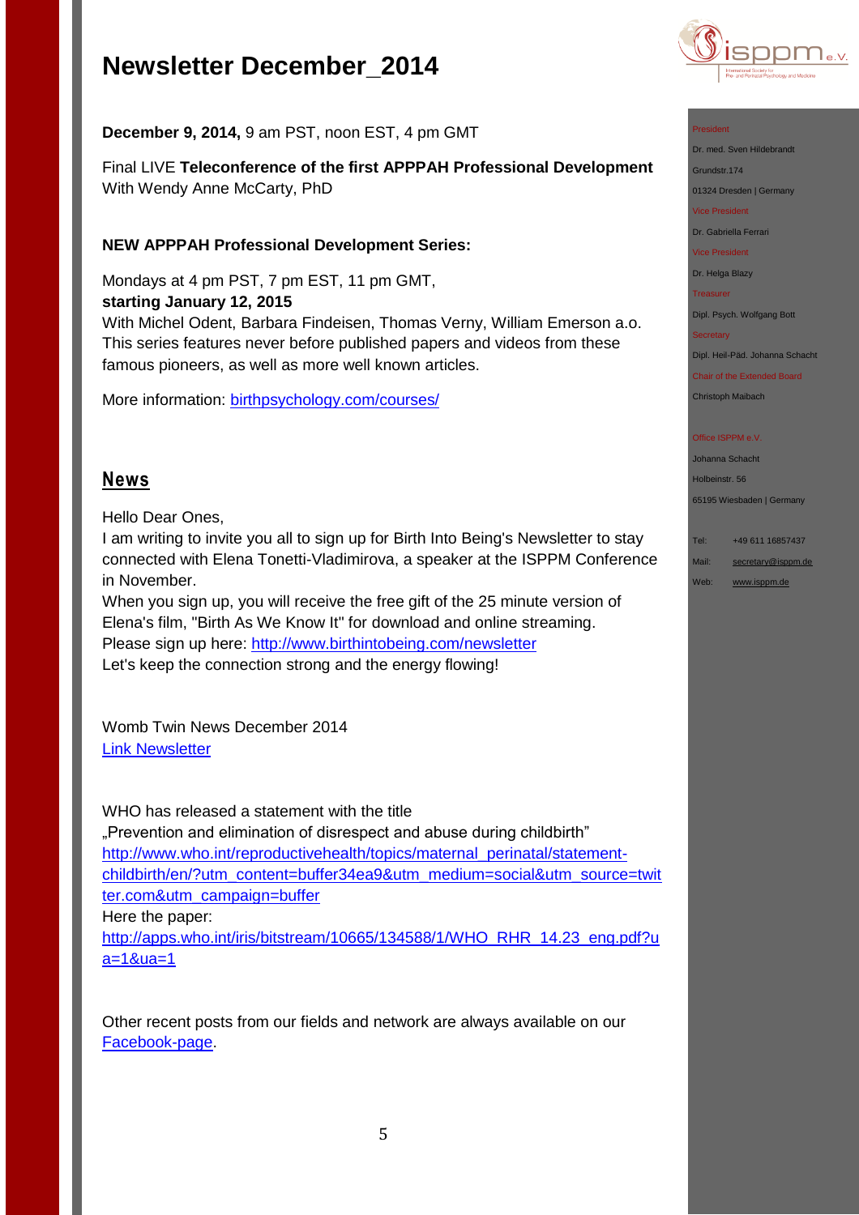

**December 9, 2014,** 9 am PST, noon EST, 4 pm GMT

Final LIVE **Teleconference of the first APPPAH Professional Development** With Wendy Anne McCarty, PhD

### **NEW APPPAH Professional Development Series:**

Mondays at 4 pm PST, 7 pm EST, 11 pm GMT, **starting January 12, 2015**

With Michel Odent, Barbara Findeisen, Thomas Verny, William Emerson a.o. This series features never before published papers and videos from these famous pioneers, as well as more well known articles.

More information: [birthpsychology.com/courses/](https://birthpsychology.com/courses/pro-series-one-clinical-skills-ppn-masters%23.VILbemcW7l8)

### **News**

Hello Dear Ones,

I am writing to invite you all to sign up for Birth Into Being's Newsletter to stay connected with Elena Tonetti-Vladimirova, a speaker at the ISPPM Conference in November.

When you sign up, you will receive the free gift of the 25 minute version of Elena's film, "Birth As We Know It" for download and online streaming. Please sign up here:<http://www.birthintobeing.com/newsletter> Let's keep the connection strong and the energy flowing!

Womb Twin News December 2014 [Link Newsletter](http://us1.campaign-archive2.com/?u=8265bdaa07f8ffa6092e863f1&id=3976d7fb9d&e=38e3dee0e3)

WHO has released a statement with the title "Prevention and elimination of disrespect and abuse during childbirth" [http://www.who.int/reproductivehealth/topics/maternal\\_perinatal/statement](http://www.who.int/reproductivehealth/topics/maternal_perinatal/statement-childbirth/en/?utm_content=buffer34ea9&utm_medium=social&utm_source=twitter.com&utm_campaign=buffer%20)[childbirth/en/?utm\\_content=buffer34ea9&utm\\_medium=social&utm\\_source=twit](http://www.who.int/reproductivehealth/topics/maternal_perinatal/statement-childbirth/en/?utm_content=buffer34ea9&utm_medium=social&utm_source=twitter.com&utm_campaign=buffer%20) [ter.com&utm\\_campaign=buffer](http://www.who.int/reproductivehealth/topics/maternal_perinatal/statement-childbirth/en/?utm_content=buffer34ea9&utm_medium=social&utm_source=twitter.com&utm_campaign=buffer%20) Here the paper:

[http://apps.who.int/iris/bitstream/10665/134588/1/WHO\\_RHR\\_14.23\\_eng.pdf?u](http://apps.who.int/iris/bitstream/10665/134588/1/WHO_RHR_14.23_eng.pdf?ua=1&ua=1) [a=1&ua=1](http://apps.who.int/iris/bitstream/10665/134588/1/WHO_RHR_14.23_eng.pdf?ua=1&ua=1)

Other recent posts from our fields and network are always available on our [Facebook-page.](https://www.facebook.com/pages/ISPPM-eV/124066644364106)

### President

Dr. med. Sven Hildebrandt

Grundstr.174

01324 Dresden | Germany Vice President

Dr. Gabriella Ferrari

Vice President

Dr. Helga Blazy

Treasurer

Dipl. Psych. Wolfgang Bott

### **Secretary**

Dipl. Heil-Päd. Johanna Schacht

Chair of the Extended Board Christoph Maibach

### Office ISPPM e.V

Johanna Schacht Holbeinstr. 56 65195 Wiesbaden | Germany

Tel: +49 611 16857437

Mail: [secretary@isppm.de](mailto:secretary@isppm.de)